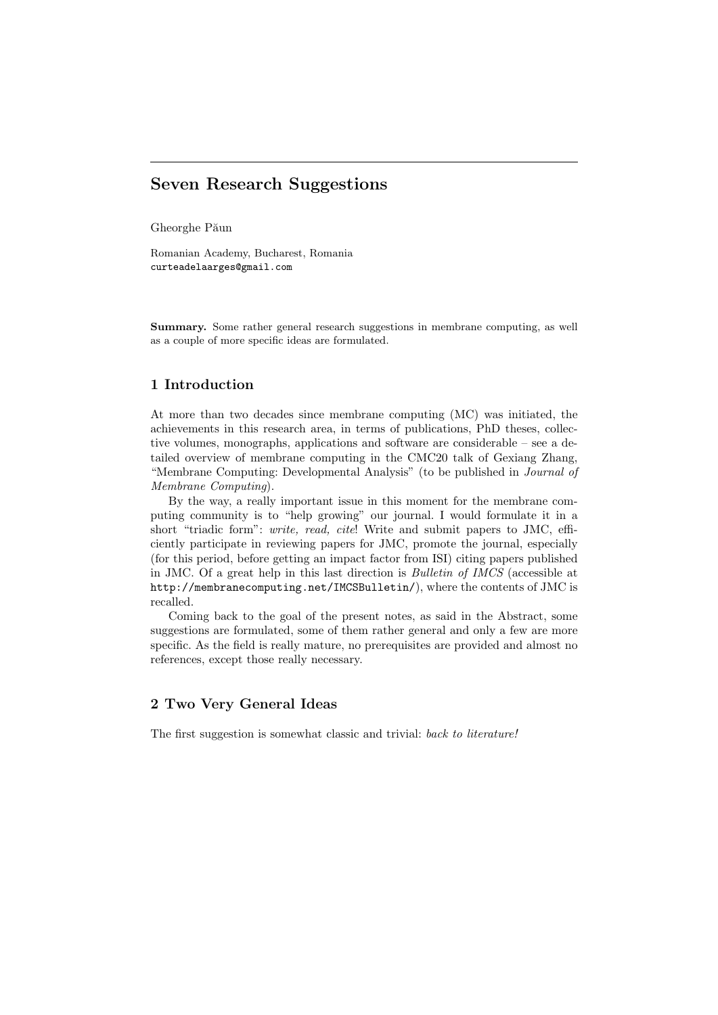# Seven Research Suggestions

Gheorghe Păun

Romanian Academy, Bucharest, Romania curteadelaarges@gmail.com

Summary. Some rather general research suggestions in membrane computing, as well as a couple of more specific ideas are formulated.

### 1 Introduction

At more than two decades since membrane computing (MC) was initiated, the achievements in this research area, in terms of publications, PhD theses, collective volumes, monographs, applications and software are considerable – see a detailed overview of membrane computing in the CMC20 talk of Gexiang Zhang, "Membrane Computing: Developmental Analysis" (to be published in Journal of Membrane Computing).

By the way, a really important issue in this moment for the membrane computing community is to "help growing" our journal. I would formulate it in a short "triadic form": write, read, cite! Write and submit papers to JMC, efficiently participate in reviewing papers for JMC, promote the journal, especially (for this period, before getting an impact factor from ISI) citing papers published in JMC. Of a great help in this last direction is Bulletin of IMCS (accessible at http://membranecomputing.net/IMCSBulletin/), where the contents of JMC is recalled.

Coming back to the goal of the present notes, as said in the Abstract, some suggestions are formulated, some of them rather general and only a few are more specific. As the field is really mature, no prerequisites are provided and almost no references, except those really necessary.

# 2 Two Very General Ideas

The first suggestion is somewhat classic and trivial: back to literature!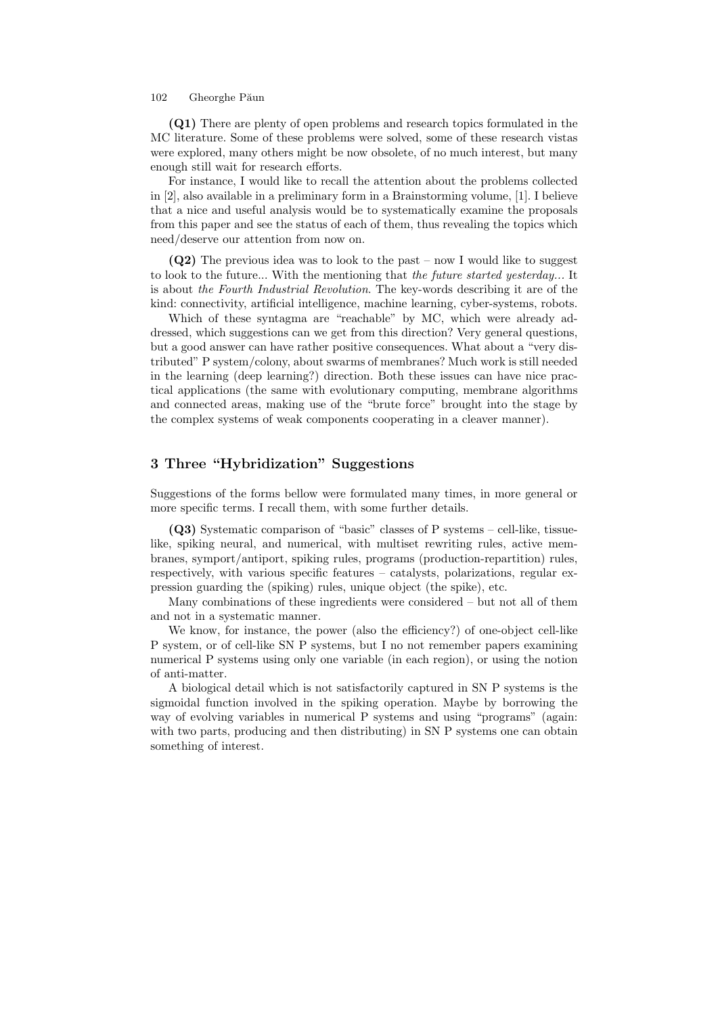#### 102 Gheorghe Păun

(Q1) There are plenty of open problems and research topics formulated in the MC literature. Some of these problems were solved, some of these research vistas were explored, many others might be now obsolete, of no much interest, but many enough still wait for research efforts.

For instance, I would like to recall the attention about the problems collected in [2], also available in a preliminary form in a Brainstorming volume, [1]. I believe that a nice and useful analysis would be to systematically examine the proposals from this paper and see the status of each of them, thus revealing the topics which need/deserve our attention from now on.

 $(Q2)$  The previous idea was to look to the past – now I would like to suggest to look to the future... With the mentioning that the future started yesterday... It is about the Fourth Industrial Revolution. The key-words describing it are of the kind: connectivity, artificial intelligence, machine learning, cyber-systems, robots.

Which of these syntagma are "reachable" by MC, which were already addressed, which suggestions can we get from this direction? Very general questions, but a good answer can have rather positive consequences. What about a "very distributed" P system/colony, about swarms of membranes? Much work is still needed in the learning (deep learning?) direction. Both these issues can have nice practical applications (the same with evolutionary computing, membrane algorithms and connected areas, making use of the "brute force" brought into the stage by the complex systems of weak components cooperating in a cleaver manner).

# 3 Three "Hybridization" Suggestions

Suggestions of the forms bellow were formulated many times, in more general or more specific terms. I recall them, with some further details.

(Q3) Systematic comparison of "basic" classes of P systems – cell-like, tissuelike, spiking neural, and numerical, with multiset rewriting rules, active membranes, symport/antiport, spiking rules, programs (production-repartition) rules, respectively, with various specific features – catalysts, polarizations, regular expression guarding the (spiking) rules, unique object (the spike), etc.

Many combinations of these ingredients were considered – but not all of them and not in a systematic manner.

We know, for instance, the power (also the efficiency?) of one-object cell-like P system, or of cell-like SN P systems, but I no not remember papers examining numerical P systems using only one variable (in each region), or using the notion of anti-matter.

A biological detail which is not satisfactorily captured in SN P systems is the sigmoidal function involved in the spiking operation. Maybe by borrowing the way of evolving variables in numerical P systems and using "programs" (again: with two parts, producing and then distributing) in SN P systems one can obtain something of interest.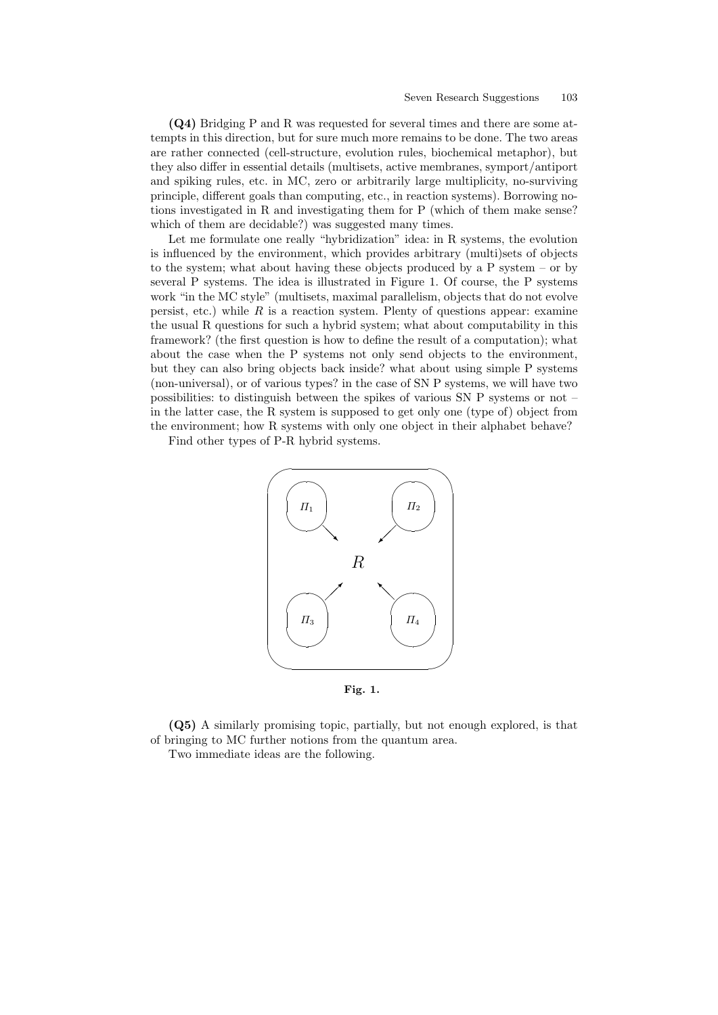(Q4) Bridging P and R was requested for several times and there are some attempts in this direction, but for sure much more remains to be done. The two areas are rather connected (cell-structure, evolution rules, biochemical metaphor), but they also differ in essential details (multisets, active membranes, symport/antiport and spiking rules, etc. in MC, zero or arbitrarily large multiplicity, no-surviving principle, different goals than computing, etc., in reaction systems). Borrowing notions investigated in R and investigating them for P (which of them make sense? which of them are decidable?) was suggested many times.

Let me formulate one really "hybridization" idea: in R systems, the evolution is influenced by the environment, which provides arbitrary (multi)sets of objects to the system; what about having these objects produced by a P system – or by several P systems. The idea is illustrated in Figure 1. Of course, the P systems work "in the MC style" (multisets, maximal parallelism, objects that do not evolve persist, etc.) while  $R$  is a reaction system. Plenty of questions appear: examine the usual R questions for such a hybrid system; what about computability in this framework? (the first question is how to define the result of a computation); what about the case when the P systems not only send objects to the environment, but they can also bring objects back inside? what about using simple P systems (non-universal), or of various types? in the case of SN P systems, we will have two possibilities: to distinguish between the spikes of various SN P systems or not – in the latter case, the R system is supposed to get only one (type of) object from the environment; how R systems with only one object in their alphabet behave?

Find other types of P-R hybrid systems.



Fig. 1.

(Q5) A similarly promising topic, partially, but not enough explored, is that of bringing to MC further notions from the quantum area.

Two immediate ideas are the following.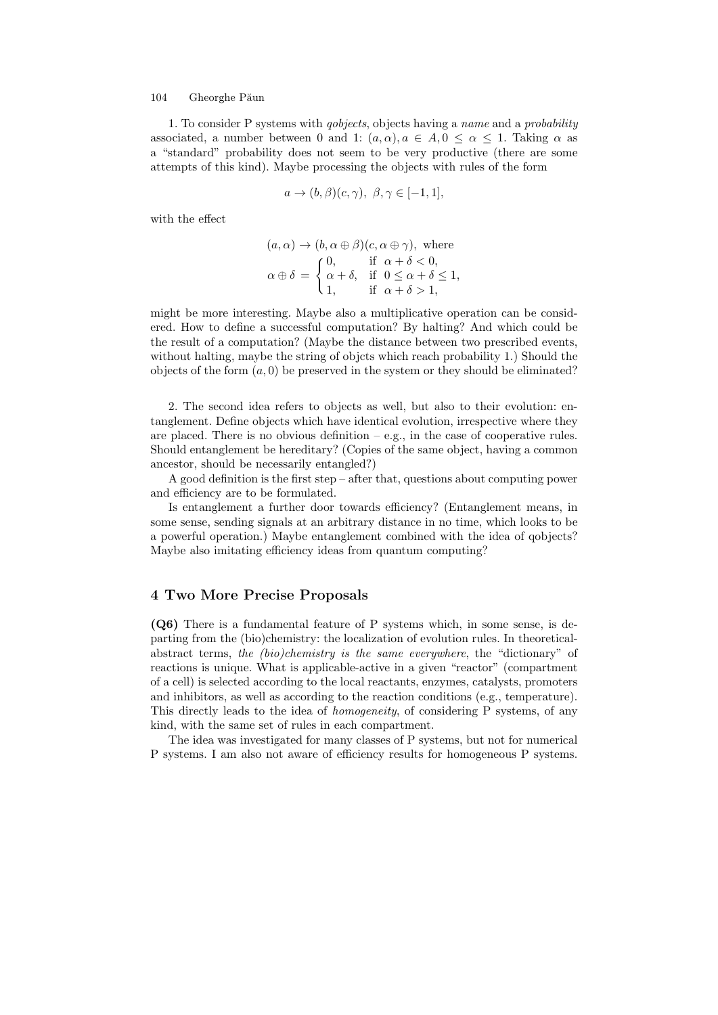#### 104 Gheorghe Păun

1. To consider P systems with qobjects, objects having a name and a probability associated, a number between 0 and 1:  $(a, \alpha), a \in A, 0 \leq \alpha \leq 1$ . Taking  $\alpha$  as a "standard" probability does not seem to be very productive (there are some attempts of this kind). Maybe processing the objects with rules of the form

$$
a \to (b,\beta)(c,\gamma), \ \beta, \gamma \in [-1,1],
$$

with the effect

$$
(a, \alpha) \rightarrow (b, \alpha \oplus \beta)(c, \alpha \oplus \gamma), \text{ where}
$$

$$
\alpha \oplus \delta = \begin{cases} 0, & \text{if } \alpha + \delta < 0, \\ \alpha + \delta, & \text{if } 0 \le \alpha + \delta \le 1, \\ 1, & \text{if } \alpha + \delta > 1, \end{cases}
$$

might be more interesting. Maybe also a multiplicative operation can be considered. How to define a successful computation? By halting? And which could be the result of a computation? (Maybe the distance between two prescribed events, without halting, maybe the string of objcts which reach probability 1.) Should the objects of the form  $(a, 0)$  be preserved in the system or they should be eliminated?

2. The second idea refers to objects as well, but also to their evolution: entanglement. Define objects which have identical evolution, irrespective where they are placed. There is no obvious definition  $-e.g.,$  in the case of cooperative rules. Should entanglement be hereditary? (Copies of the same object, having a common ancestor, should be necessarily entangled?)

A good definition is the first step – after that, questions about computing power and efficiency are to be formulated.

Is entanglement a further door towards efficiency? (Entanglement means, in some sense, sending signals at an arbitrary distance in no time, which looks to be a powerful operation.) Maybe entanglement combined with the idea of qobjects? Maybe also imitating efficiency ideas from quantum computing?

#### 4 Two More Precise Proposals

(Q6) There is a fundamental feature of P systems which, in some sense, is departing from the (bio)chemistry: the localization of evolution rules. In theoreticalabstract terms, the (bio)chemistry is the same everywhere, the "dictionary" of reactions is unique. What is applicable-active in a given "reactor" (compartment of a cell) is selected according to the local reactants, enzymes, catalysts, promoters and inhibitors, as well as according to the reaction conditions (e.g., temperature). This directly leads to the idea of homogeneity, of considering P systems, of any kind, with the same set of rules in each compartment.

The idea was investigated for many classes of P systems, but not for numerical P systems. I am also not aware of efficiency results for homogeneous P systems.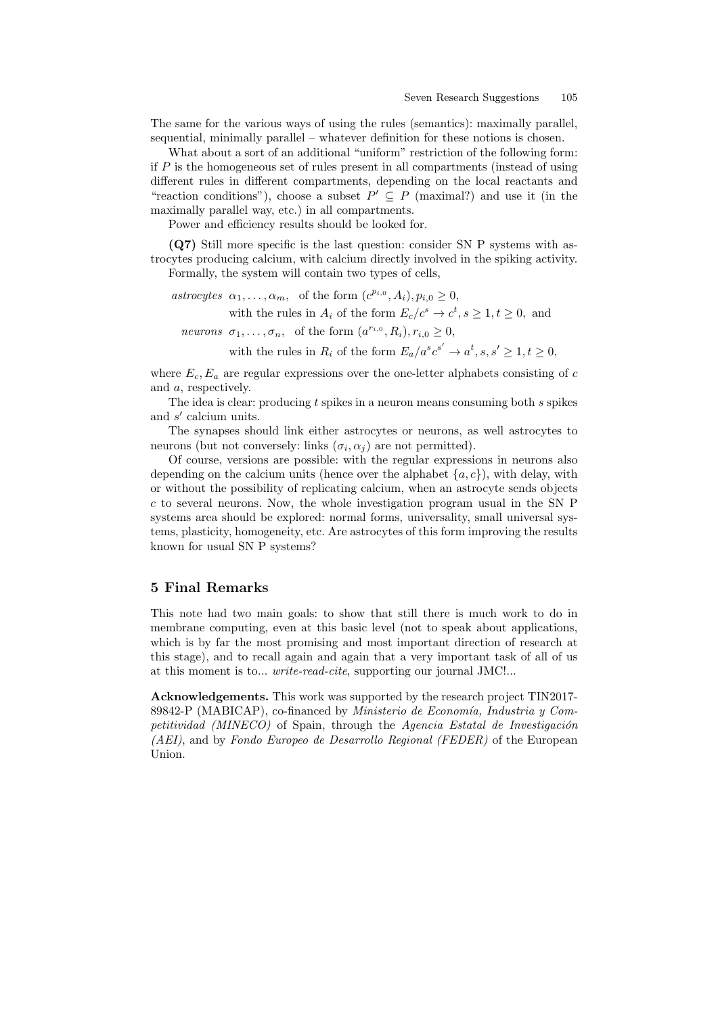The same for the various ways of using the rules (semantics): maximally parallel, sequential, minimally parallel – whatever definition for these notions is chosen.

What about a sort of an additional "uniform" restriction of the following form: if  $P$  is the homogeneous set of rules present in all compartments (instead of using different rules in different compartments, depending on the local reactants and "reaction conditions"), choose a subset  $P' \subseteq P$  (maximal?) and use it (in the maximally parallel way, etc.) in all compartments.

Power and efficiency results should be looked for.

(Q7) Still more specific is the last question: consider SN P systems with astrocytes producing calcium, with calcium directly involved in the spiking activity. Formally, the system will contain two types of cells,

astrocytes  $\alpha_1, \ldots, \alpha_m$ , of the form  $(c^{p_{i,0}}, A_i), p_{i,0} \ge 0$ , with the rules in  $A_i$  of the form  $E_c/c^s \to c^t, s \ge 1, t \ge 0$ , and neurons  $\sigma_1, \ldots, \sigma_n$ , of the form  $(a^{r_{i,0}}, R_i), r_{i,0} \ge 0$ ,

with the rules in  $R_i$  of the form  $E_a/a^s c^{s'} \to a^t, s, s' \geq 1, t \geq 0$ ,

where  $E_c, E_a$  are regular expressions over the one-letter alphabets consisting of c and a, respectively.

The idea is clear: producing t spikes in a neuron means consuming both s spikes and  $s'$  calcium units.

The synapses should link either astrocytes or neurons, as well astrocytes to neurons (but not conversely: links  $(\sigma_i, \alpha_j)$  are not permitted).

Of course, versions are possible: with the regular expressions in neurons also depending on the calcium units (hence over the alphabet  ${a, c}$ ), with delay, with or without the possibility of replicating calcium, when an astrocyte sends objects c to several neurons. Now, the whole investigation program usual in the SN P systems area should be explored: normal forms, universality, small universal systems, plasticity, homogeneity, etc. Are astrocytes of this form improving the results known for usual SN P systems?

### 5 Final Remarks

This note had two main goals: to show that still there is much work to do in membrane computing, even at this basic level (not to speak about applications, which is by far the most promising and most important direction of research at this stage), and to recall again and again that a very important task of all of us at this moment is to... *write-read-cite*, supporting our journal JMC!...

Acknowledgements. This work was supported by the research project TIN2017- 89842-P (MABICAP), co-financed by *Ministerio de Economía*, *Industria y Com*petitividad (MINECO) of Spain, through the Agencia Estatal de Investigación (AEI), and by Fondo Europeo de Desarrollo Regional (FEDER) of the European Union.